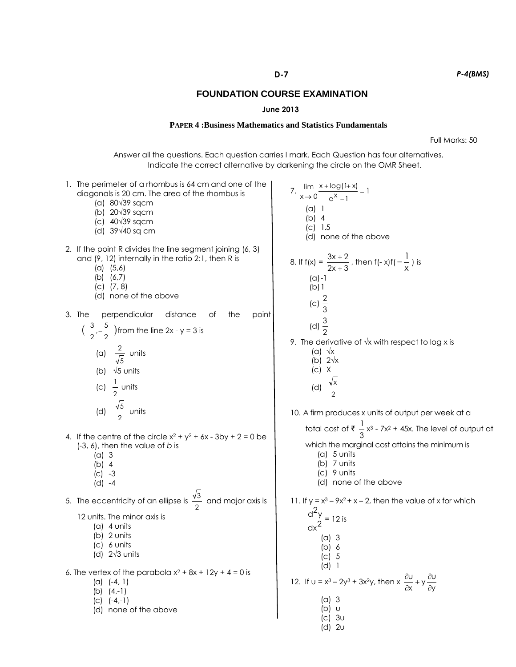## **June 2013**

## **PAPER 4 :Business Mathematics and Statistics Fundamentals**

Full Marks: 50

Answer all the questions. Each question carries I mark. Each Question has four alternatives. Indicate the correct alternative by darkening the circle on the OMR Sheet.

| 1. The perimeter of a rhombus is 64 cm and one of the<br>diagonals is 20 cm. The area of the rhombus is<br>(a) 80√39 sqcm<br>(b) $20\sqrt{39}$ sqcm<br>(c) $40\sqrt{39}$ sqcm<br>(d) $39\sqrt{40}$ sq cm                                                                    | 7. $\lim_{x \to 0} \frac{x + \log(1+x)}{e^x - 1} = 1$<br>(a) 1<br>$(b)$ 4<br>$(C)$ 1.5<br>(d) none of the above                                                                                                                       |
|-----------------------------------------------------------------------------------------------------------------------------------------------------------------------------------------------------------------------------------------------------------------------------|---------------------------------------------------------------------------------------------------------------------------------------------------------------------------------------------------------------------------------------|
| 2. If the point R divides the line segment joining (6, 3)<br>and (9, 12) internally in the ratio 2:1, then R is<br>$(a)$ $(5,6)$<br>(b) $(6,7)$<br>$(C)$ $(7, 8)$<br>(d) none of the above                                                                                  | 8. If $f(x) = \frac{3x+2}{2x+3}$ , then $f(-x)f(-\frac{1}{x})$ is<br>$(a) - 1$<br>$(b)$ 1<br>(c) $\frac{2}{3}$                                                                                                                        |
| 3. The<br>perpendicular<br>distance<br>0t<br>the<br>point<br>$\left(\begin{array}{c}3\\2\end{array},-\frac{5}{2}\right)$ from the line 2x - y = 3 is<br>(a) $\frac{2}{\sqrt{5}}$ units<br>(b) $\sqrt{5}$ units<br>(c) $\frac{1}{2}$ units<br>(d) $\frac{\sqrt{5}}{2}$ units | (d) $\frac{3}{2}$<br>9. The derivative of $\sqrt{x}$ with respect to log x is<br>$(a) \sqrt{x}$<br>(b) $2\sqrt{x}$<br>$(C)$ X<br>(d) $\frac{\sqrt{x}}{2}$<br>10. A firm produces x units of output per week at a                      |
| 4. If the centre of the circle $x^2 + y^2 + 6x - 3by + 2 = 0$ be<br>$(-3, 6)$ , then the value of b is<br>(a) 3<br>$(b)$ 4<br>$(C) -3$<br>$(d) -4$                                                                                                                          | total cost of $\overline{\xi}$ $\frac{1}{3}x^3$ - 7x <sup>2</sup> + 45x. The level of output at<br>which the marginal cost attains the minimum is<br>(a) $5 \text{ units}$<br>$(b)$ 7 units<br>$(c)$ 9 units<br>(d) none of the above |
| 5. The eccentricity of an ellipse is $\frac{\sqrt{3}}{2}$ and major axis is<br>12 units. The minor axis is<br>$(a)$ 4 units<br>$(b)$ 2 units<br>$(c)$ 6 units<br>(d) $2\sqrt{3}$ units                                                                                      | 11. If $y = x^3 - 9x^2 + x - 2$ , then the value of x for which<br>$\frac{d^2y}{dx^2} = 12$ is<br>(a) 3<br>(b) 6<br>$\left( \begin{matrix} \nc \end{matrix} \right)$ 5                                                                |
| 6. The vertex of the parabola $x^2$ + 8x + 12y + 4 = 0 is<br>$(a) (-4, 1)$<br>(b) $(4,-1)$<br>$(C)$ $(-4,-1)$<br>(d) none of the above                                                                                                                                      | $(d)$ 1<br>12. If $u = x^3 - 2y^3 + 3x^2y$ , then $x \frac{\partial u}{\partial x} + y \frac{\partial u}{\partial y}$<br>$(a)$ 3<br>(b) u<br>$ C $ 3u<br>$(d)$ 2 $\cup$                                                               |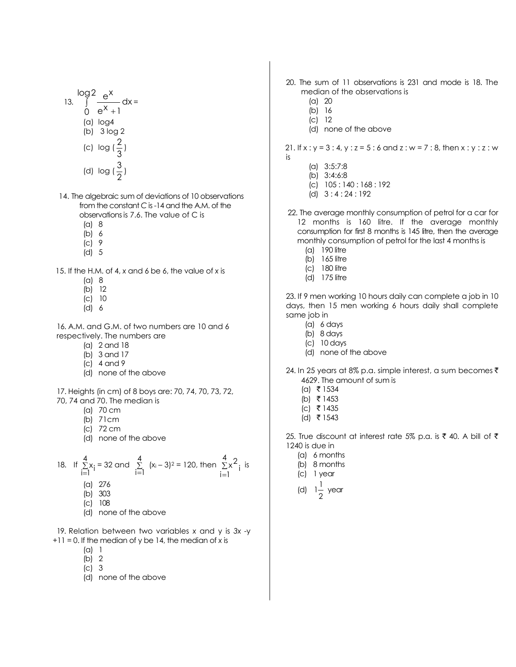$$
\log 2 \frac{e^{x}}{0 - e^{x} + 1} dx =
$$
\n
$$
\begin{array}{c}\n(a) \log 4 \\
(b) \log 2 \\
(c) \log(\frac{2}{3})\n\end{array}
$$
\n
$$
(d) \log(\frac{3}{2})
$$

14. The algebraic sum of deviations of 10 observations from the constant *C* is -14 and the A.M. of the observations is 7.6. The value of C is

- (a) 8
- (b) 6
- (c) 9
- (d) 5

15. If the H.M. of 4, *x* and 6 be 6, the value of *x* is

- (a) 8
- (b) 12
- (c) 10
- (d) 6

16. A.M. and G.M. of two numbers are 10 and 6 respectively. The numbers are

- (a) 2 and 18
- (b) 3 and 17
- (c) 4 and 9
- (d) none of the above

17. Heights (in cm) of 8 boys are: 70, 74, 70, 73, 72, 70, 74 and 70. The median is

- (a) 70 cm
- (b) 71cm
- (c) 72 cm
- (d) none of the above

18. If 
$$
\sum_{i=1}^{4} x_i = 32
$$
 and  $\sum_{i=1}^{4} (x_i - 3)^2 = 120$ , then  $\sum_{i=1}^{4} x_i^2$  is  
(a) 276

- (b) 303
- (c) 108
- (d) none of the above

19. Relation between two variables *x* and y is *3x* -y +11 = 0. If the median of y be 14, the median of *x* is

- (a) 1
- (b) 2
- (c) 3
- (d) none of the above
- 20. The sum of 11 observations is 231 and mode is 18. The median of the observations is
	- (a) 20
	- (b) 16
	- (c) 12
	- (d) none of the above

21. If x : y = 3 : 4, y : z = 5 : 6 and z : w = 7 : 8, then x : y : z : w is

- (a) 3:5:7:8
- (b) 3:4:6:8
- (c) 105 : 140 : 168 : 192
- (d) 3 : 4 : 24 : 192
- 22. The average monthly consumption of petrol for a car for 12 months is 160 litre. If the average monthly consumption for first 8 months is 145 litre, then the average monthly consumption of petrol for the last 4 months is
	- (a) 190 litre
	- (b) 165 litre
	- (c) 180 litre
	- (d) 175 litre

23. If 9 men working 10 hours daily can complete a job in 10 days, then 15 men working 6 hours daily shall complete same job in

- (a) 6 days
- (b) 8 days
- (c) 10 days
- (d) none of the above
- 24. In 25 years at 8% p.a. simple interest, a sum becomes  $\bar{\tau}$ 4629. The amount of sum is
	- $(a) \;$ ₹ 1534
	- $(b)$  ₹ 1453
	- $(c)$  ₹ 1435
	- (d) ₹ 1543

I

25. True discount at interest rate 5% p.a. is  $\bar{\tau}$  40. A bill of  $\bar{\tau}$ 1240 is due in

- (a) 6 months
- (b) 8 months
- (c) 1 year
- (d) 2  $1\frac{1}{x}$  year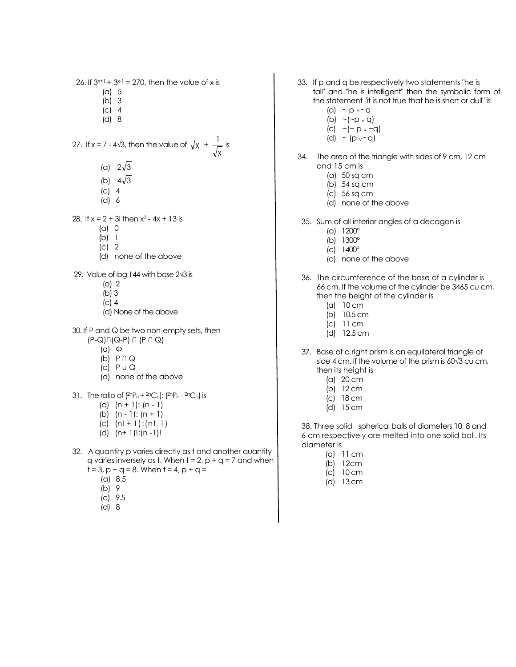26. If  $3^{x+1}$  +  $3^{x-1}$  = 270, then the value of x is

- (a) 5
- (b) 3
- (c) 4
- (d) 8

27. If 
$$
x = 7 - 4\sqrt{3}
$$
, then the value of  $\sqrt{x} + \frac{1}{\sqrt{x}}$  is

- (a)  $2\sqrt{3}$
- (b)  $4\sqrt{3}$
- (c) 4
- (d) 6

28. If  $x = 2 + 3i$  then  $x^2 - 4x + 13$  is

- (a) 0
- (b) 1
- (c) 2
- (d) none of the above
- 29. Value of log 144 with base 2√3 is
	- (a) 2
	- (b) 3
	- (c) 4
	- (d) None of the above
- 30. If P and Q be two non-empty sets, then (P-Q)∩(Q-P) ∩ (P ∩ Q)
	- (a) Φ
	- (b) P ∩ Q
	- (c) P u Q
	- (d) none of the above
- 31. The ratio of  $(^{2n}P_n + ^{2n}C_n)$ :  $(^{2n}P_n ^{2n}C_n)$  is
	- (a)  $(n + 1)$ :  $(n 1)$
	- (b)  $(n 1)$ :  $(n + 1)$
	- (c) (n! + 1):(n!-1)
	- (d) (n+ 1)!:(n -1)!
- 32. A quantity p varies directly as t and another quantity q varies inversely as t. When  $t = 2$ ,  $p + q = 7$  and when
	- $t = 3$ ,  $p + q = 8$ . When  $t = 4$ ,  $p + q =$ 
		- (a) 8.5
		- (b) 9
		- $|c|$  9.5
		- (d) 8
- 33. If p and q be respectively two statements "he is tall" and "he is intelligent" then the symbolic form of the statement "it is not true that he is short or dull" is
	- (a)  $\sim p \wedge \sim q$
	- $(b)$  ~(~p v q)
	- $(c)$  ~(~ p v ~q)
	- (d)  $\sim$  (p  $\sim$  -q)
- 34. The area of the triangle with sides of 9 cm, 12 cm and 15 cm is
	- (a) 50 sq cm
	- (b) 54 sq cm
	- (c) 56 sq cm
	- (d) none of the above
	- 35. Sum of all interior angles of a decagon is
		- (a) 1200°
		- (b) 1300°
		- (c) 1400°
		- (d) none of the above
	- 36. The circumference of the base of a cylinder is 66 cm. If the volume of the cylinder be 3465 cu cm, then the height of the cylinder is
		- (a) 10 cm
		- (b) 10.5 cm
		- (c) 11 cm
		- (d) 12.5 cm
	- 37. Base of a right prism is an equilateral triangle of side 4 cm. If the volume of the prism is 60√3 cu cm, then its height is
		- (a) 20 cm
		- (b) 12 cm
		- (c) 18 cm
		- (d) 15 cm

38. Three solid spherical balls of diameters 10, 8 and 6 cm respectively are melted into one solid ball. Its diameter is

- (a) 11 cm
- (b) 12cm
- (c) 10 cm
- (d) 13 cm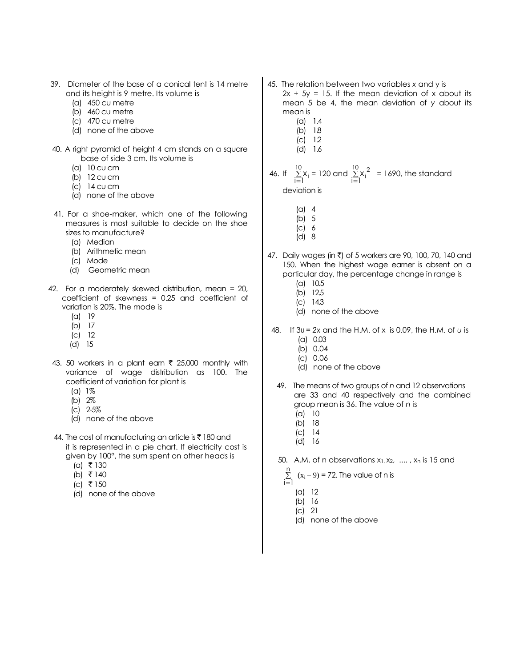- 39. Diameter of the base of a conical tent is 14 metre and its height is 9 metre. Its volume is
	- (a) 450 cu metre
	- (b) 460 cu metre
	- (c) 470 cu metre
	- (d) none of the above
- 40. A right pyramid of height 4 cm stands on a square base of side 3 cm. Its volume is
	- (a) 10 cu cm
	- (b) 12 cu cm
	- (c) 14 cu cm
	- (d) none of the above
- 41. For a shoe-maker, which one of the following measures is most suitable to decide on the shoe sizes to manufacture?
	- (a) Median
	- (b) Arithmetic mean
	- (c) Mode
	- (d) Geometric mean
- 42. For a moderately skewed distribution, mean = 20, coefficient of skewness = 0.25 and coefficient of variation is 20%. The mode is
	- (a) 19
	- (b) 17
	- (c) 12
	- (d) 15
- 43. 50 workers in a plant earn  $\bar{\tau}$  25,000 monthly with variance of wage distribution as 100. The coefficient of variation for plant is
	- (a) 1%
	- (b) 2%
	- (c) 2-5%
	- (d) none of the above
- 44. The cost of manufacturing an article is  $\bar{\tau}$  180 and it is represented in a pie chart. If electricity cost is given by 100°, the sum spent on other heads is
	- $(a)$  ₹ 130
	- (b) ₹ 140
	- $(c)$  ₹ 150
	- (d) none of the above
- 45. The relation between two variables *x* and y is  $2x + 5y = 15$ . If the mean deviation of x about its mean 5 be 4, the mean deviation of *y* about its
	- mean is (a) 1.4
		- (b) 1.8
		- (c) 1.2
		- (d) 1.6

46. If 
$$
\sum_{i=1}^{10} x_i = 120
$$
 and  $\sum_{i=1}^{10} x_i^2 = 1690$ , the standard deviation is

- 
- $(a)$  4 (b) 5
- (c) 6
- (d) 8
- 47. Daily wages (in ₹) of 5 workers are 90, 100, 70, 140 and 150. When the highest wage earner is absent on a particular day, the percentage change in range is
	- (a) 10.5
	- (b) 12.5
	- (c) 14.3
	- (d) none of the above
- 48. If 3U = *2x* and the H.M. of x is 0.09, the H.M. of *u* is (a) 0.03
	- (b) 0.04
	- (c) 0.06
	- (d) none of the above
	- 49. The means of two groups of *n* and 12 observations are 33 and 40 respectively and the combined group mean is 36. The value of *n* is
		- (a) 10
		- (b) 18
		- (c) 14 (d) 16
	- 50. A.M. of n observations  $x_1, x_2, \ldots, x_n$  is 15 and

$$
\sum_{i=1}^{n} (x_i - 9) = 72
$$
. The value of n is

- (a) 12
- (b) 16
- (c) 21
- (d) none of the above